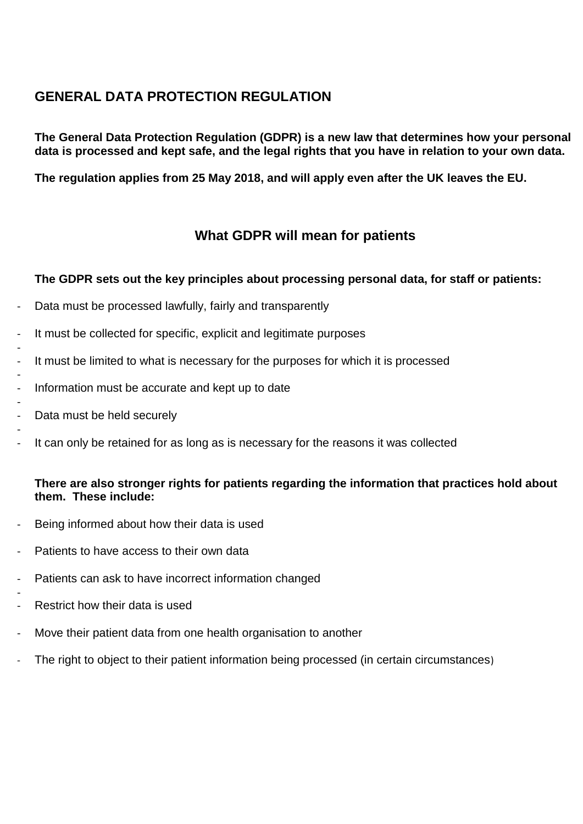# **GENERAL DATA PROTECTION REGULATION**

**The General Data Protection Regulation (GDPR) is a new law that determines how your personal data is processed and kept safe, and the legal rights that you have in relation to your own data.**

**The regulation applies from 25 May 2018, and will apply even after the UK leaves the EU.**

## **What GDPR will mean for patients**

### **The GDPR sets out the key principles about processing personal data, for staff or patients:**

- Data must be processed lawfully, fairly and transparently
- It must be collected for specific, explicit and legitimate purposes
- It must be limited to what is necessary for the purposes for which it is processed
- Information must be accurate and kept up to date
- Data must be held securely
- It can only be retained for as long as is necessary for the reasons it was collected

## **There are also stronger rights for patients regarding the information that practices hold about them. These include:**

- Being informed about how their data is used
- Patients to have access to their own data
- Patients can ask to have incorrect information changed
- Restrict how their data is used
- Move their patient data from one health organisation to another
- The right to object to their patient information being processed (in certain circumstances)